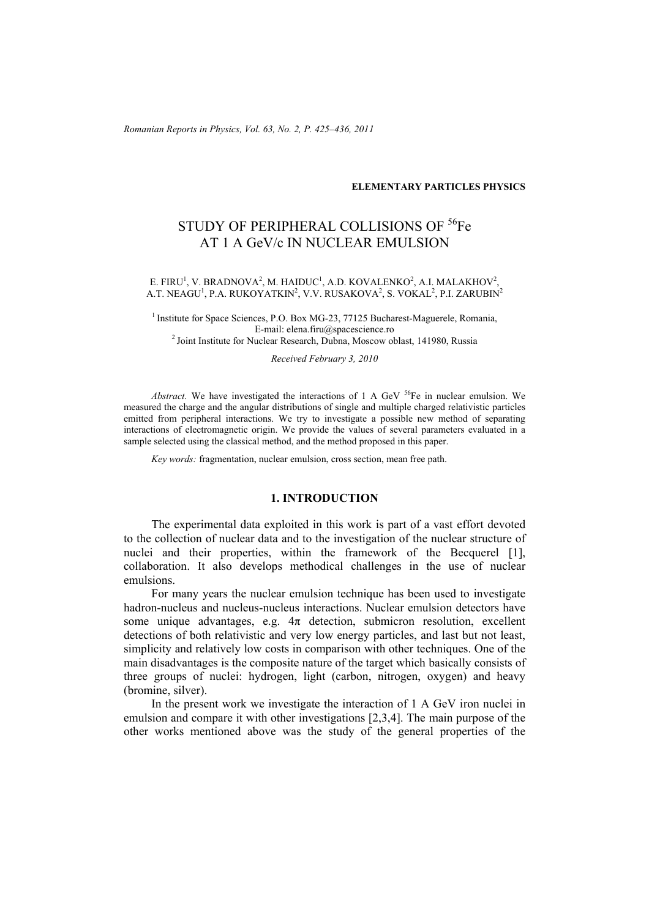*Romanian Reports in Physics, Vol. 63, No. 2, P. 425–436, 2011*

## **ELEMENTARY PARTICLES PHYSICS**

# STUDY OF PERIPHERAL COLLISIONS OF <sup>56</sup>Fe AT 1 A GeV/c IN NUCLEAR EMULSION

#### E. FIRU<sup>1</sup>, V. BRADNOVA<sup>2</sup>, M. HAIDUC<sup>1</sup>, A.D. KOVALENKO<sup>2</sup>, A.I. MALAKHOV<sup>2</sup>, A.T. NEAGU<sup>1</sup>, P.A. RUKOYATKIN<sup>2</sup>, V.V. RUSAKOVA<sup>2</sup>, S. VOKAL<sup>2</sup>, P.I. ZARUBIN<sup>2</sup>

<sup>1</sup> Institute for Space Sciences, P.O. Box MG-23, 77125 Bucharest-Maguerele, Romania, E-mail: elena.firu@spacescience.ro

 $2$ Joint Institute for Nuclear Research, Dubna, Moscow oblast, 141980, Russia

*Received February 3, 2010* 

*Abstract.* We have investigated the interactions of 1 A GeV <sup>56</sup>Fe in nuclear emulsion. We measured the charge and the angular distributions of single and multiple charged relativistic particles emitted from peripheral interactions. We try to investigate a possible new method of separating interactions of electromagnetic origin. We provide the values of several parameters evaluated in a sample selected using the classical method, and the method proposed in this paper.

*Key words:* fragmentation, nuclear emulsion, cross section, mean free path.

# **1. INTRODUCTION**

The experimental data exploited in this work is part of a vast effort devoted to the collection of nuclear data and to the investigation of the nuclear structure of nuclei and their properties, within the framework of the Becquerel [1], collaboration. It also develops methodical challenges in the use of nuclear emulsions.

For many years the nuclear emulsion technique has been used to investigate hadron-nucleus and nucleus-nucleus interactions. Nuclear emulsion detectors have some unique advantages, e.g.  $4\pi$  detection, submicron resolution, excellent detections of both relativistic and very low energy particles, and last but not least, simplicity and relatively low costs in comparison with other techniques. One of the main disadvantages is the composite nature of the target which basically consists of three groups of nuclei: hydrogen, light (carbon, nitrogen, oxygen) and heavy (bromine, silver).

In the present work we investigate the interaction of 1 A GeV iron nuclei in emulsion and compare it with other investigations [2,3,4]. The main purpose of the other works mentioned above was the study of the general properties of the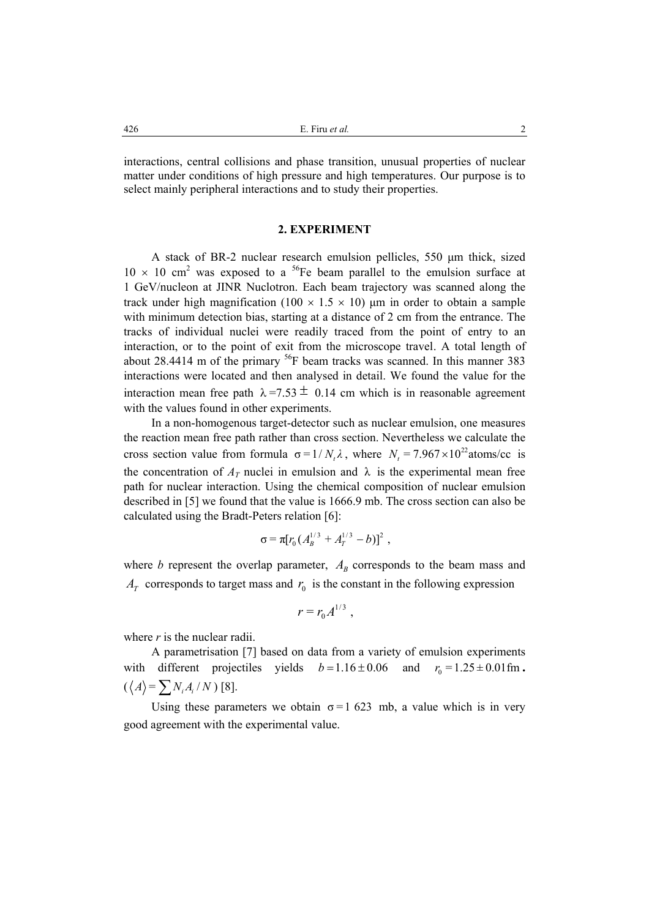interactions, central collisions and phase transition, unusual properties of nuclear matter under conditions of high pressure and high temperatures. Our purpose is to select mainly peripheral interactions and to study their properties.

#### **2. EXPERIMENT**

A stack of BR-2 nuclear research emulsion pellicles, 550 µm thick, sized  $10 \times 10$  cm<sup>2</sup> was exposed to a <sup>56</sup>Fe beam parallel to the emulsion surface at 1 GeV/nucleon at JINR Nuclotron. Each beam trajectory was scanned along the track under high magnification (100  $\times$  1.5  $\times$  10) µm in order to obtain a sample with minimum detection bias, starting at a distance of 2 cm from the entrance. The tracks of individual nuclei were readily traced from the point of entry to an interaction, or to the point of exit from the microscope travel. A total length of about 28.4414 m of the primary  $^{56}$ F beam tracks was scanned. In this manner 383 interactions were located and then analysed in detail. We found the value for the interaction mean free path  $\lambda = 7.53 \pm 0.14$  cm which is in reasonable agreement with the values found in other experiments.

In a non-homogenous target-detector such as nuclear emulsion, one measures the reaction mean free path rather than cross section. Nevertheless we calculate the cross section value from formula  $\sigma = 1/N_c\lambda$ , where  $N_c = 7.967 \times 10^{22}$  atoms/cc is the concentration of  $A_T$  nuclei in emulsion and  $\lambda$  is the experimental mean free path for nuclear interaction. Using the chemical composition of nuclear emulsion described in [5] we found that the value is 1666.9 mb. The cross section can also be calculated using the Bradt-Peters relation [6]:

$$
\sigma = \pi [r_0 (A_B^{1/3} + A_T^{1/3} - b)]^2 ,
$$

where *b* represent the overlap parameter,  $A_B$  corresponds to the beam mass and  $A_T$  corresponds to target mass and  $r_0$  is the constant in the following expression

$$
r=r_0 A^{1/3},
$$

where *r* is the nuclear radii.

A parametrisation [7] based on data from a variety of emulsion experiments with different projectiles yields  $b=1.16\pm 0.06$  and  $r_0=1.25\pm 0.01$  fm.  $(\langle A \rangle = \sum N_i A_i / N)$  [8].

Using these parameters we obtain  $\sigma = 1$  623 mb, a value which is in very good agreement with the experimental value.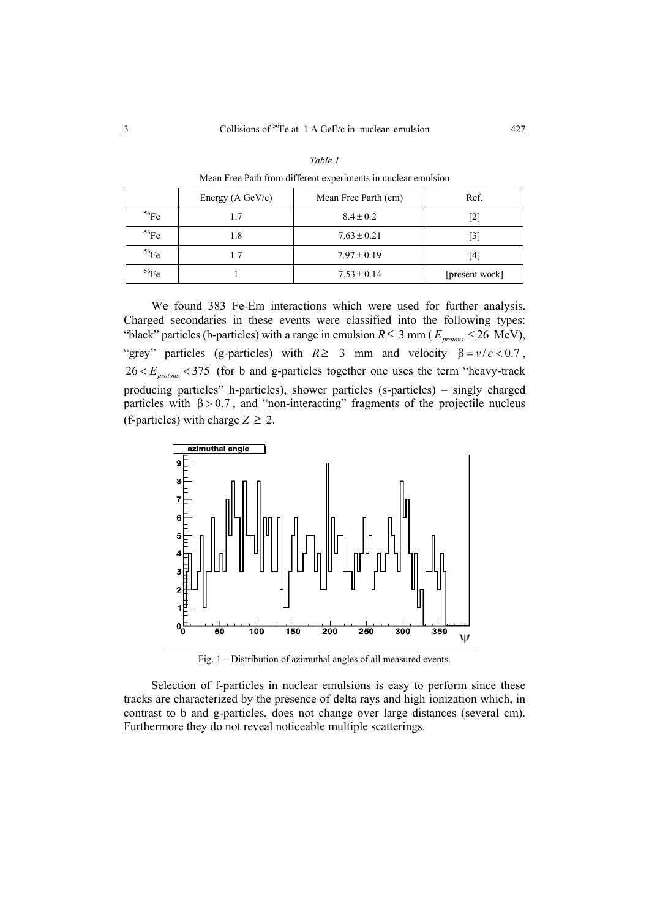*Table 1* 

|         |                            | Mean Free Path from different experiments in nuclear emulsion |                |
|---------|----------------------------|---------------------------------------------------------------|----------------|
|         | Energy $(A \text{ GeV/c})$ | Mean Free Parth (cm)                                          | Ref.           |
| $56$ Fe | 1.7                        | $8.4 \pm 0.2$                                                 | [2]            |
| 56Fe    | 1.8                        | $7.63 \pm 0.21$                                               | [3]            |
| $56$ Fe | 1.7                        | $7.97 \pm 0.19$                                               | [4]            |
| $56$ Fe |                            | $7.53 \pm 0.14$                                               | [present work] |

We found 383 Fe-Em interactions which were used for further analysis. Charged secondaries in these events were classified into the following types: "black" particles (b-particles) with a range in emulsion  $R \le 3$  mm ( $E_{protons} \le 26$  MeV), "grey" particles (g-particles) with  $R \ge 3$  mm and velocity  $\beta = v/c < 0.7$ ,  $26 < E_{protons} < 375$  (for b and g-particles together one uses the term "heavy-track producing particles" h-particles), shower particles (s-particles) – singly charged particles with  $\beta > 0.7$ , and "non-interacting" fragments of the projectile nucleus (f-particles) with charge  $Z \geq 2$ .



Fig. 1 – Distribution of azimuthal angles of all measured events.

Selection of f-particles in nuclear emulsions is easy to perform since these tracks are characterized by the presence of delta rays and high ionization which, in contrast to b and g-particles, does not change over large distances (several cm). Furthermore they do not reveal noticeable multiple scatterings.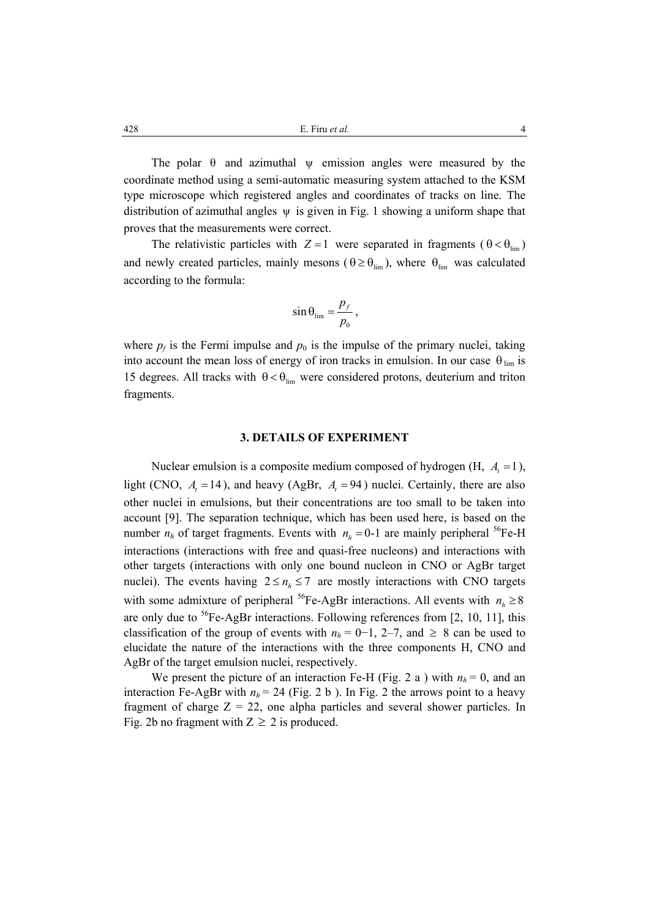The polar  $\theta$  and azimuthal  $\psi$  emission angles were measured by the coordinate method using a semi-automatic measuring system attached to the KSM type microscope which registered angles and coordinates of tracks on line. The distribution of azimuthal angles  $\psi$  is given in Fig. 1 showing a uniform shape that proves that the measurements were correct.

The relativistic particles with  $Z = 1$  were separated in fragments ( $\theta < \theta_{\text{lim}}$ ) and newly created particles, mainly mesons ( $\theta \ge \theta_{\text{lim}}$ ), where  $\theta_{\text{lim}}$  was calculated according to the formula:

$$
\sin \theta_{\lim} = \frac{p_f}{p_0},
$$

where  $p_f$  is the Fermi impulse and  $p_0$  is the impulse of the primary nuclei, taking into account the mean loss of energy of iron tracks in emulsion. In our case  $\theta_{\text{lim}}$  is 15 degrees. All tracks with  $\theta < \theta_{\text{lim}}$  were considered protons, deuterium and triton fragments.

### **3. DETAILS OF EXPERIMENT**

Nuclear emulsion is a composite medium composed of hydrogen  $(H, A<sub>r</sub> = 1)$ , light (CNO,  $A_t = 14$ ), and heavy (AgBr,  $A_t = 94$ ) nuclei. Certainly, there are also other nuclei in emulsions, but their concentrations are too small to be taken into account [9]. The separation technique, which has been used here, is based on the number  $n_h$  of target fragments. Events with  $n_h = 0$ -1 are mainly peripheral <sup>56</sup>Fe-H interactions (interactions with free and quasi-free nucleons) and interactions with other targets (interactions with only one bound nucleon in CNO or AgBr target nuclei). The events having  $2 \le n_h \le 7$  are mostly interactions with CNO targets with some admixture of peripheral <sup>56</sup>Fe-AgBr interactions. All events with  $n_h \ge 8$ are only due to  $56$ Fe-AgBr interactions. Following references from [2, 10, 11], this classification of the group of events with  $n_h = 0-1$ , 2–7, and ≥ 8 can be used to elucidate the nature of the interactions with the three components H, CNO and AgBr of the target emulsion nuclei, respectively.

We present the picture of an interaction Fe-H (Fig. 2 a) with  $n_h = 0$ , and an interaction Fe-AgBr with  $n_h = 24$  (Fig. 2 b). In Fig. 2 the arrows point to a heavy fragment of charge  $Z = 22$ , one alpha particles and several shower particles. In Fig. 2b no fragment with  $Z \ge 2$  is produced.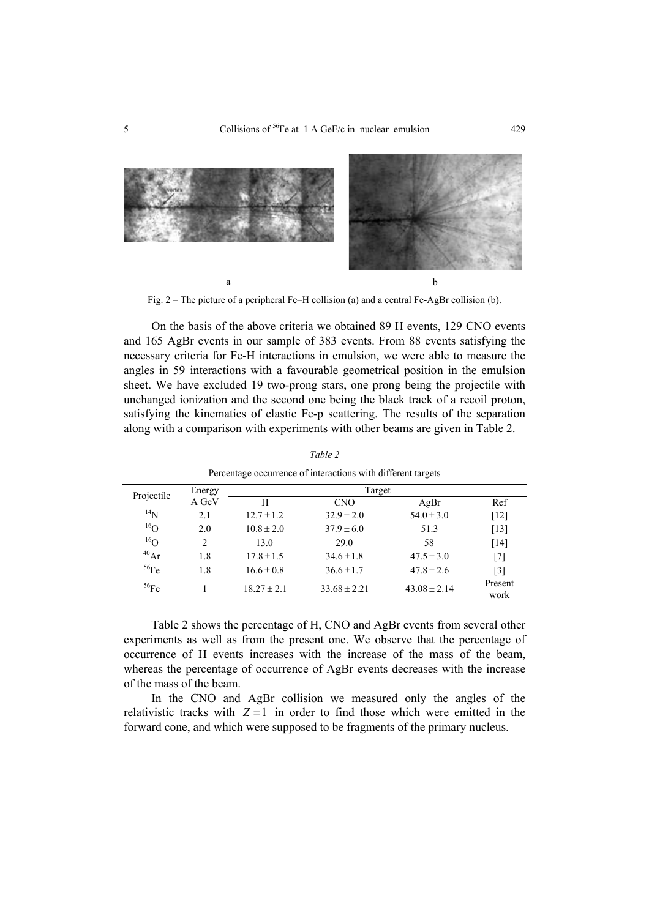

Fig. 2 – The picture of a peripheral Fe–H collision (a) and a central Fe-AgBr collision (b).

On the basis of the above criteria we obtained 89 H events, 129 CNO events and 165 AgBr events in our sample of 383 events. From 88 events satisfying the necessary criteria for Fe-H interactions in emulsion, we were able to measure the angles in 59 interactions with a favourable geometrical position in the emulsion sheet. We have excluded 19 two-prong stars, one prong being the projectile with unchanged ionization and the second one being the black track of a recoil proton, satisfying the kinematics of elastic Fe-p scattering. The results of the separation along with a comparison with experiments with other beams are given in Table 2.

|                 |                               |                 | Percentage occurrence of interactions with different targets |                  |                 |
|-----------------|-------------------------------|-----------------|--------------------------------------------------------------|------------------|-----------------|
| Projectile      | Energy                        |                 | Target                                                       |                  |                 |
|                 | A GeV                         | H               | <b>CNO</b>                                                   | AgBr             | Ref             |
| $^{14}N$        | 2.1                           | $12.7 \pm 1.2$  | $32.9 \pm 2.0$                                               | $54.0 \pm 3.0$   | $[12]$          |
| $^{16}$ O       | 2.0                           | $10.8 \pm 2.0$  | $37.9 \pm 6.0$                                               | 51.3             | $[13]$          |
| 16 <sub>O</sub> | $\mathfrak{D}_{\mathfrak{p}}$ | 13.0            | 29.0                                                         | 58               | [14]            |
| $^{40}Ar$       | 1.8                           | $17.8 \pm 1.5$  | $34.6 \pm 1.8$                                               | $47.5 \pm 3.0$   | $[7]$           |
| 56Fe            | 1.8                           | $16.6 \pm 0.8$  | $36.6 \pm 1.7$                                               | $47.8 \pm 2.6$   | $[3]$           |
| 56Fe            |                               | $18.27 \pm 2.1$ | $33.68 \pm 2.21$                                             | $43.08 \pm 2.14$ | Present<br>work |

*Table 2* 

Table 2 shows the percentage of H, CNO and AgBr events from several other experiments as well as from the present one. We observe that the percentage of occurrence of H events increases with the increase of the mass of the beam, whereas the percentage of occurrence of AgBr events decreases with the increase of the mass of the beam.

In the CNO and AgBr collision we measured only the angles of the relativistic tracks with  $Z = 1$  in order to find those which were emitted in the forward cone, and which were supposed to be fragments of the primary nucleus.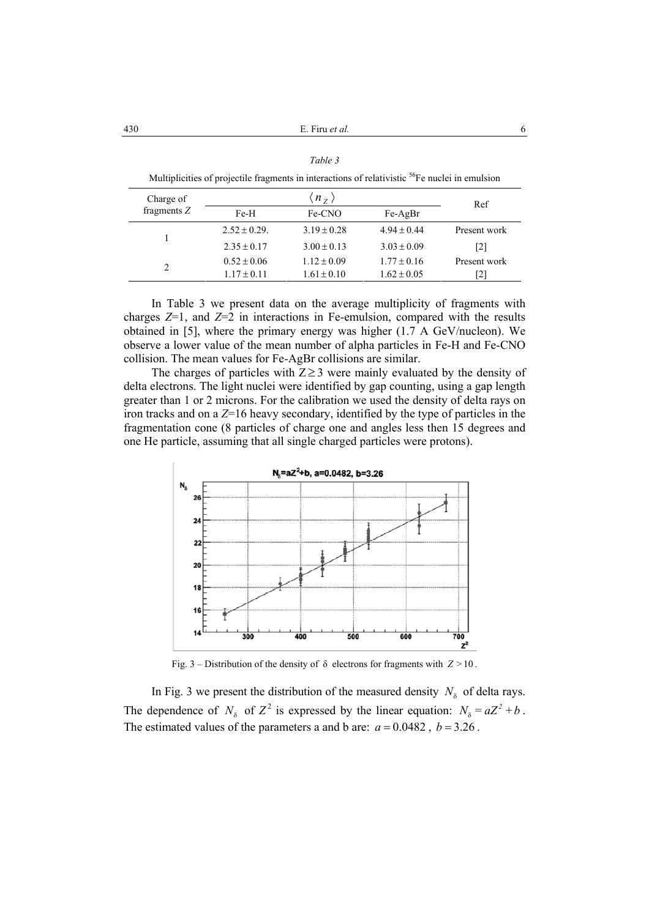430 **et al. et al. et al. 6** 

|                |                                                                                                            | Table 3                 |                 |              |
|----------------|------------------------------------------------------------------------------------------------------------|-------------------------|-----------------|--------------|
|                | Multiplicities of projectile fragments in interactions of relativistic <sup>56</sup> Fe nuclei in emulsion |                         |                 |              |
| Charge of      |                                                                                                            | $\langle n_{z} \rangle$ |                 | Ref          |
| fragments $Z$  | Fe-H                                                                                                       | Fe-CNO                  | $Fe-AgBr$       |              |
|                | $2.52 \pm 0.29$ .                                                                                          | $3.19 \pm 0.28$         | $4.94 \pm 0.44$ | Present work |
|                | $2.35 \pm 0.17$                                                                                            | $3.00 \pm 0.13$         | $3.03 \pm 0.09$ | [2]          |
| $\mathfrak{D}$ | $0.52 \pm 0.06$                                                                                            | $1.12 \pm 0.09$         | $1.77 \pm 0.16$ | Present work |
|                | $1.17 \pm 0.11$                                                                                            | $1.61 \pm 0.10$         | $1.62 \pm 0.05$ | 12           |

In Table 3 we present data on the average multiplicity of fragments with charges  $Z=1$ , and  $Z=2$  in interactions in Fe-emulsion, compared with the results obtained in [5], where the primary energy was higher (1.7 A GeV/nucleon). We observe a lower value of the mean number of alpha particles in Fe-H and Fe-CNO collision. The mean values for Fe-AgBr collisions are similar.

The charges of particles with  $Z \geq 3$  were mainly evaluated by the density of delta electrons. The light nuclei were identified by gap counting, using a gap length greater than 1 or 2 microns. For the calibration we used the density of delta rays on iron tracks and on a *Z*=16 heavy secondary, identified by the type of particles in the fragmentation cone (8 particles of charge one and angles less then 15 degrees and one He particle, assuming that all single charged particles were protons).



Fig. 3 – Distribution of the density of  $\delta$  electrons for fragments with  $Z > 10$ .

In Fig. 3 we present the distribution of the measured density  $N<sub>δ</sub>$  of delta rays. The dependence of  $N_{\delta}$  of  $Z^2$  is expressed by the linear equation:  $N_{\delta} = aZ^2 + b$ . The estimated values of the parameters a and b are:  $a = 0.0482$ ,  $b = 3.26$ .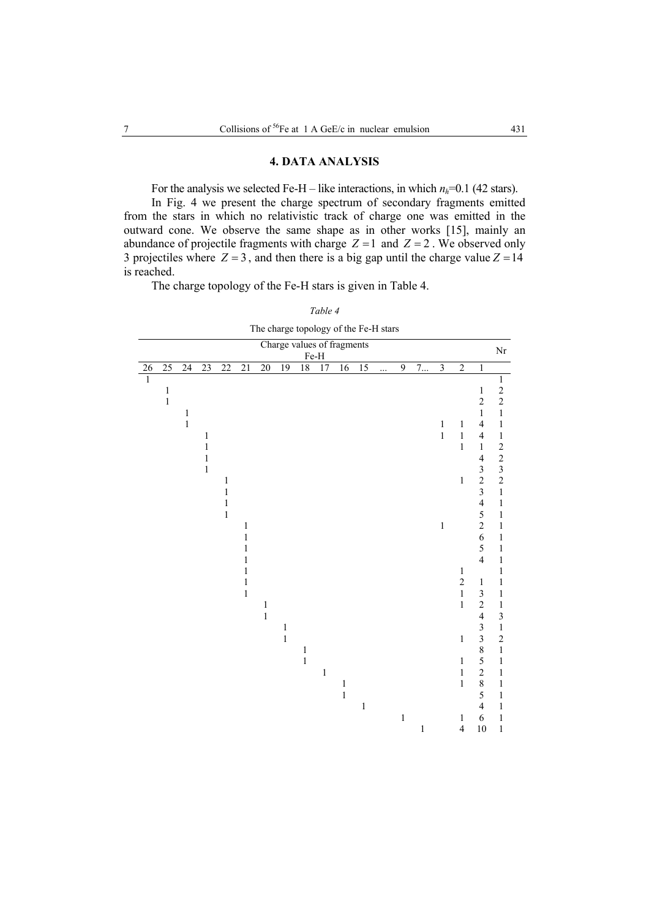## **4. DATA ANALYSIS**

For the analysis we selected Fe-H – like interactions, in which  $n_h$ =0.1 (42 stars). In Fig. 4 we present the charge spectrum of secondary fragments emitted from the stars in which no relativistic track of charge one was emitted in the outward cone. We observe the same shape as in other works [15], mainly an abundance of projectile fragments with charge  $Z = 1$  and  $Z = 2$ . We observed only 3 projectiles where  $Z = 3$ , and then there is a big gap until the charge value  $Z = 14$ is reached.

The charge topology of the Fe-H stars is given in Table 4.

| Table 4                               |  |
|---------------------------------------|--|
| The charge topology of the Fe-H stars |  |

|              |                 |                 |                 |                              |                 | The ends topology |              |                 |                   | $V1$ and $I$ $V11$ $V11$<br>Charge values of fragments |       |          |              |       |                         |                |                                            |                                            |
|--------------|-----------------|-----------------|-----------------|------------------------------|-----------------|-------------------|--------------|-----------------|-------------------|--------------------------------------------------------|-------|----------|--------------|-------|-------------------------|----------------|--------------------------------------------|--------------------------------------------|
|              |                 |                 |                 |                              |                 |                   |              |                 | $\rm Fe\text{-}H$ |                                                        |       |          |              |       |                         |                |                                            | $\rm Nr$                                   |
| $26\,$       | $\overline{25}$ | $\overline{24}$ | $\overline{23}$ | $\overline{22}$              | $\overline{21}$ | 20                | 19           | $\overline{18}$ | $\overline{17}$   | 16                                                     | 15    | $\cdots$ | 9            | 7     | $\overline{\mathbf{3}}$ | $\overline{2}$ | $\,1\,$                                    |                                            |
| $\mathbf{1}$ |                 |                 |                 |                              |                 |                   |              |                 |                   |                                                        |       |          |              |       |                         |                |                                            | $\,1$                                      |
|              | $\,1$           |                 |                 |                              |                 |                   |              |                 |                   |                                                        |       |          |              |       |                         |                | $\mathbf{1}$                               | $\overline{c}$                             |
|              | $\mathbf{1}$    |                 |                 |                              |                 |                   |              |                 |                   |                                                        |       |          |              |       |                         |                | $\overline{c}$                             | $\overline{c}$                             |
|              |                 | $\mathbf{1}$    |                 |                              |                 |                   |              |                 |                   |                                                        |       |          |              |       |                         |                | $\mathbf{1}$                               | $\,1$                                      |
|              |                 | $\mathbf{1}$    |                 |                              |                 |                   |              |                 |                   |                                                        |       |          |              |       | 1                       | $\mathbf{1}$   | $\overline{4}$                             | $\,1$                                      |
|              |                 |                 | 1               |                              |                 |                   |              |                 |                   |                                                        |       |          |              |       | $\mathbf{1}$            | $\,1\,$        | $\overline{\mathbf{4}}$                    | $\,1$                                      |
|              |                 |                 | $\mathbf{1}$    |                              |                 |                   |              |                 |                   |                                                        |       |          |              |       |                         | $\,1$          | $\mathbf{1}$                               | $\boldsymbol{2}$                           |
|              |                 |                 | 1               |                              |                 |                   |              |                 |                   |                                                        |       |          |              |       |                         |                | $\overline{\mathbf{4}}$                    | $\begin{array}{c} 2 \\ 3 \\ 2 \end{array}$ |
|              |                 |                 | $\mathbf{1}$    |                              |                 |                   |              |                 |                   |                                                        |       |          |              |       |                         |                |                                            |                                            |
|              |                 |                 |                 | $\mathbf{1}$<br>$\mathbf{1}$ |                 |                   |              |                 |                   |                                                        |       |          |              |       |                         | $\mathbf{1}$   | $\begin{array}{c} 3 \\ 2 \\ 3 \end{array}$ | $\,1$                                      |
|              |                 |                 |                 | $\mathbf{1}$                 |                 |                   |              |                 |                   |                                                        |       |          |              |       |                         |                | $\overline{\mathcal{L}}$                   | $\mathbf{1}$                               |
|              |                 |                 |                 | $\mathbf{1}$                 |                 |                   |              |                 |                   |                                                        |       |          |              |       |                         |                | 5                                          | $\mathbf{1}$                               |
|              |                 |                 |                 |                              | $\mathbf{1}$    |                   |              |                 |                   |                                                        |       |          |              |       | $\,1$                   |                | $\overline{c}$                             | $\mathbf{1}$                               |
|              |                 |                 |                 |                              | $\mathbf{1}$    |                   |              |                 |                   |                                                        |       |          |              |       |                         |                | 6                                          | $\mathbf{1}$                               |
|              |                 |                 |                 |                              | $\mathbf{1}$    |                   |              |                 |                   |                                                        |       |          |              |       |                         |                | 5                                          | $\mathbf{1}$                               |
|              |                 |                 |                 |                              | $\mathbf{1}$    |                   |              |                 |                   |                                                        |       |          |              |       |                         |                | $\overline{4}$                             | $\mathbf{1}$                               |
|              |                 |                 |                 |                              | $\mathbf{1}$    |                   |              |                 |                   |                                                        |       |          |              |       |                         | $\mathbf{1}$   |                                            | $\mathbf{1}$                               |
|              |                 |                 |                 |                              | $\mathbf{1}$    |                   |              |                 |                   |                                                        |       |          |              |       |                         | $\overline{c}$ | $\mathbf{1}$                               | $\mathbf{1}$                               |
|              |                 |                 |                 |                              | $\mathbf{1}$    |                   |              |                 |                   |                                                        |       |          |              |       |                         | $\,1\,$        | 3                                          | 1                                          |
|              |                 |                 |                 |                              |                 | $\mathbf{1}$      |              |                 |                   |                                                        |       |          |              |       |                         | $\,1$          | $\overline{c}$                             | $\mathbf{1}$                               |
|              |                 |                 |                 |                              |                 | $\mathbf 1$       |              |                 |                   |                                                        |       |          |              |       |                         |                | $\overline{\mathbf{4}}$                    | $\overline{\mathbf{3}}$                    |
|              |                 |                 |                 |                              |                 |                   | $\,1$        |                 |                   |                                                        |       |          |              |       |                         |                | $\overline{\mathbf{3}}$                    | $\,1\,$                                    |
|              |                 |                 |                 |                              |                 |                   | $\mathbf{1}$ |                 |                   |                                                        |       |          |              |       |                         | $\,1\,$        | $\overline{\mathbf{3}}$                    | $\overline{c}$                             |
|              |                 |                 |                 |                              |                 |                   |              | $\mathbf{1}$    |                   |                                                        |       |          |              |       |                         |                | $\,$ 8 $\,$                                | $\,1$                                      |
|              |                 |                 |                 |                              |                 |                   |              | $\mathbf{1}$    |                   |                                                        |       |          |              |       |                         | $\mathbf{1}$   | 5                                          | $\mathbf{1}$                               |
|              |                 |                 |                 |                              |                 |                   |              |                 | $\,1$             |                                                        |       |          |              |       |                         | $\,1\,$        | $\overline{c}$                             | 1                                          |
|              |                 |                 |                 |                              |                 |                   |              |                 |                   | $\mathbf{1}$                                           |       |          |              |       |                         | $\,1\,$        | 8                                          | $\mathbf{1}$                               |
|              |                 |                 |                 |                              |                 |                   |              |                 |                   | $\mathbf{1}$                                           |       |          |              |       |                         |                | 5                                          | $\mathbf{1}$                               |
|              |                 |                 |                 |                              |                 |                   |              |                 |                   |                                                        | $\,1$ |          |              |       |                         |                | $\overline{4}$                             | 1                                          |
|              |                 |                 |                 |                              |                 |                   |              |                 |                   |                                                        |       |          | $\mathbf{1}$ |       |                         | 1              | 6                                          | $\mathbf{1}$                               |
|              |                 |                 |                 |                              |                 |                   |              |                 |                   |                                                        |       |          |              | $\,1$ |                         | $\overline{4}$ | 10                                         | $\mathbf{1}$                               |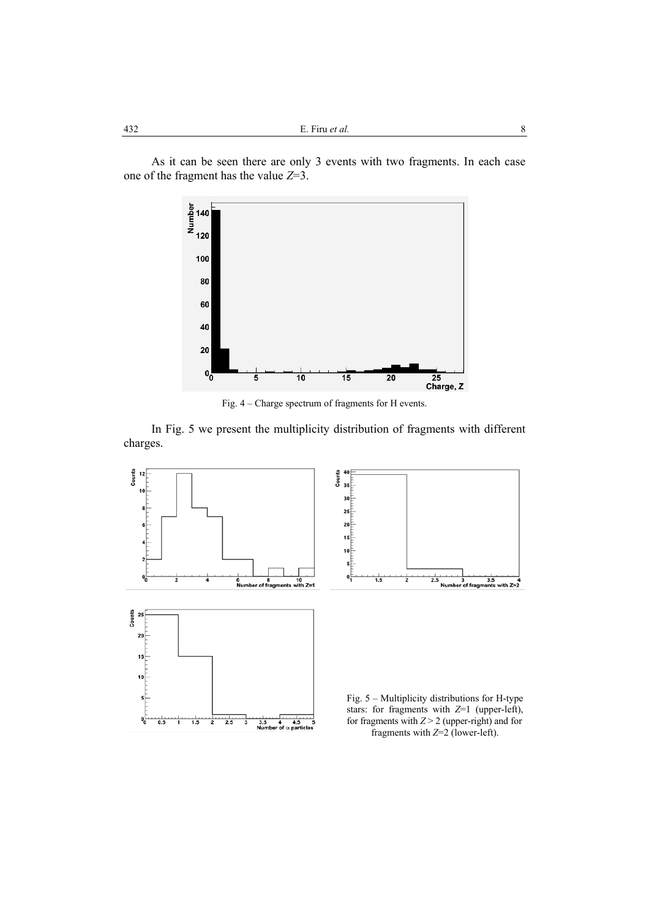As it can be seen there are only 3 events with two fragments. In each case one of the fragment has the value *Z*=3.



Fig. 4 – Charge spectrum of fragments for H events.

In Fig. 5 we present the multiplicity distribution of fragments with different charges.



fragments with *Z*=2 (lower-left).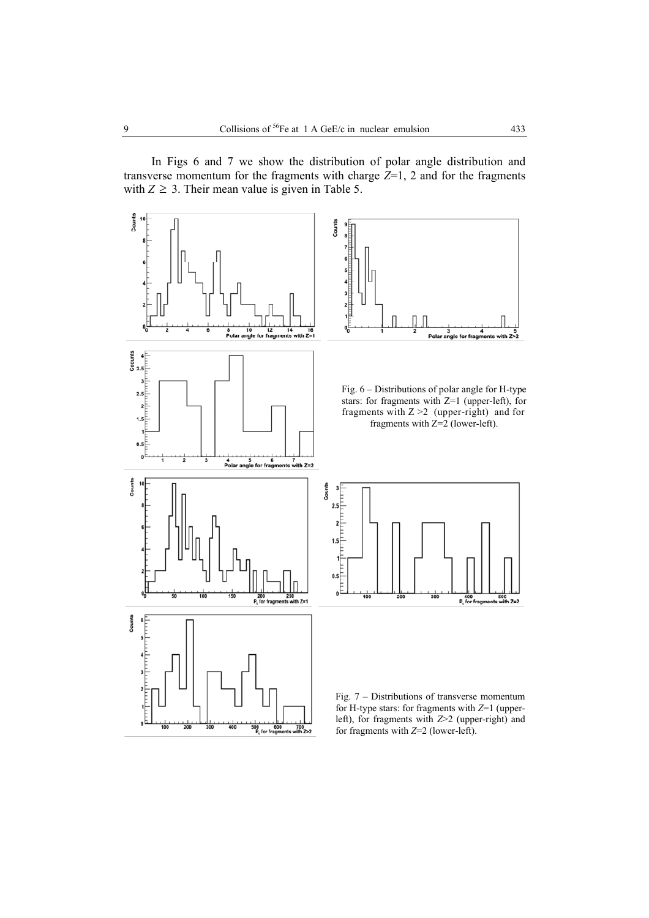In Figs 6 and 7 we show the distribution of polar angle distribution and transverse momentum for the fragments with charge *Z*=1, 2 and for the fragments with  $Z \geq 3$ . Their mean value is given in Table 5.

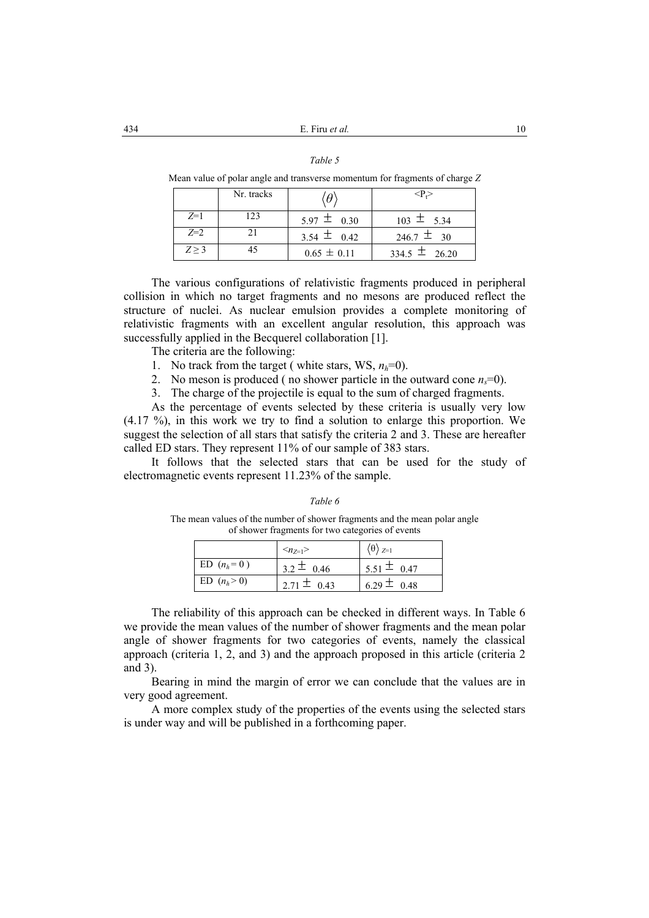| I |  |
|---|--|
|---|--|

Mean value of polar angle and transverse momentum for fragments of charge *Z*

|       | Nr. tracks |                 | <p.></p.>         |
|-------|------------|-----------------|-------------------|
| $Z=1$ | 123        | $5.97 \pm 0.30$ | $103 \pm 5.34$    |
| $Z=2$ |            | 3.54 $\pm$ 0.42 | $246.7 \pm 30$    |
| Z > 3 |            | $0.65 \pm 0.11$ | $334.5 \pm 26.20$ |

The various configurations of relativistic fragments produced in peripheral collision in which no target fragments and no mesons are produced reflect the structure of nuclei. As nuclear emulsion provides a complete monitoring of relativistic fragments with an excellent angular resolution, this approach was successfully applied in the Becquerel collaboration [1].

The criteria are the following:

- 1. No track from the target ( white stars,  $WS, n_h=0$ ).
- 2. No meson is produced (no shower particle in the outward cone  $n_s=0$ ).

3. The charge of the projectile is equal to the sum of charged fragments.

As the percentage of events selected by these criteria is usually very low (4.17 %), in this work we try to find a solution to enlarge this proportion. We suggest the selection of all stars that satisfy the criteria 2 and 3. These are hereafter called ED stars. They represent 11% of our sample of 383 stars.

It follows that the selected stars that can be used for the study of electromagnetic events represent 11.23% of the sample.

#### *Table 6*

The mean values of the number of shower fragments and the mean polar angle of shower fragments for two categories of events

|                | $\langle n_{7=1} \rangle$ | $\langle \theta \rangle_{Z=1}$ |
|----------------|---------------------------|--------------------------------|
| ED $(n_h = 0)$ | $3.2 \pm 0.46$            | $5.51 \pm 0.47$                |
| ED $(n_h > 0)$ | $2.71 \pm 0.43$           | 6.29 $\pm$ 0.48                |

The reliability of this approach can be checked in different ways. In Table 6 we provide the mean values of the number of shower fragments and the mean polar angle of shower fragments for two categories of events, namely the classical approach (criteria 1, 2, and 3) and the approach proposed in this article (criteria 2 and 3).

Bearing in mind the margin of error we can conclude that the values are in very good agreement.

A more complex study of the properties of the events using the selected stars is under way and will be published in a forthcoming paper.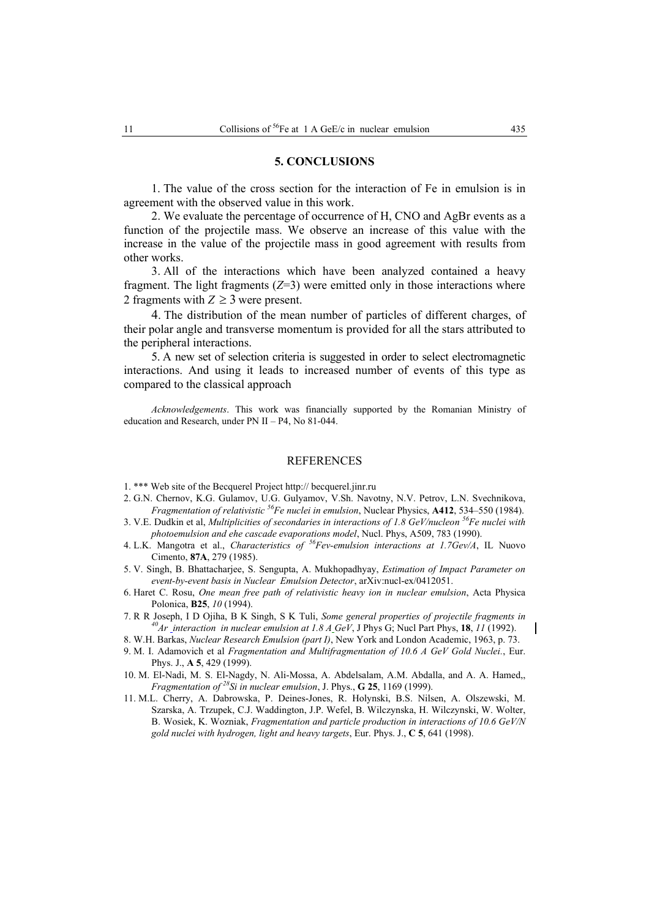#### **5. CONCLUSIONS**

1. The value of the cross section for the interaction of Fe in emulsion is in agreement with the observed value in this work.

2. We evaluate the percentage of occurrence of H, CNO and AgBr events as a function of the projectile mass. We observe an increase of this value with the increase in the value of the projectile mass in good agreement with results from other works.

3. All of the interactions which have been analyzed contained a heavy fragment. The light fragments  $(Z=3)$  were emitted only in those interactions where 2 fragments with  $Z \geq 3$  were present.

4. The distribution of the mean number of particles of different charges, of their polar angle and transverse momentum is provided for all the stars attributed to the peripheral interactions.

5. A new set of selection criteria is suggested in order to select electromagnetic interactions. And using it leads to increased number of events of this type as compared to the classical approach

*Acknowledgements*. This work was financially supported by the Romanian Ministry of education and Research, under PN II – P4, No 81-044.

#### REFERENCES

- 1. \*\*\* Web site of the Becquerel Project http:// becquerel.jinr.ru
- 2. G.N. Chernov, K.G. Gulamov, U.G. Gulyamov, V.Sh. Navotny, N.V. Petrov, L.N. Svechnikova, *Fragmentation of relativistic* <sup>56</sup>Fe nuclei in emulsion, Nuclear Physics, A412, 534–550 (1984).
- 3. V.E. Dudkin et al, *Multiplicities of secondaries in interactions of 1.8 GeV/nucleon 56Fe nuclei with photoemulsion and ehe cascade evaporations model*, Nucl. Phys, A509, 783 (1990).
- 4. L.K. Mangotra et al., *Characteristics of 56Fev-emulsion interactions at 1.7Gev/A*, IL Nuovo Cimento, **87A**, 279 (1985).
- 5. V. Singh, B. Bhattacharjee, S. Sengupta, A. Mukhopadhyay, *Estimation of Impact Parameter on event-by-event basis in Nuclear Emulsion Detector*, arXiv:nucl-ex/0412051.
- 6. Haret C. Rosu, *One mean free path of relativistic heavy ion in nuclear emulsion*, Acta Physica Polonica, **B25**, *10* (1994).
- 7. R R Joseph, I D Ojiha, B K Singh, S K Tuli, *Some general properties of projectile fragments in 40Ar interaction in nuclear emulsion at 1.8 A GeV*, J Phys G; Nucl Part Phys, **18**, *11* (1992).
- 8. W.H. Barkas, *Nuclear Research Emulsion (part I)*, New York and London Academic, 1963, p. 73.
- 9. M. I. Adamovich et al *Fragmentation and Multifragmentation of 10.6 A GeV Gold Nuclei.*, Eur. Phys. J., **A 5**, 429 (1999).
- 10. M. El-Nadi, M. S. El-Nagdy, N. Ali-Mossa, A. Abdelsalam, A.M. Abdalla, and A. A. Hamed,, *Fragmentation of*  $^{28}$ Si in nuclear emulsion, J. Phys., **G 25**, 1169 (1999).
- 11. M.L. Cherry, A. Dabrowska, P. Deines-Jones, R. Holynski, B.S. Nilsen, A. Olszewski, M. Szarska, A. Trzupek, C.J. Waddington, J.P. Wefel, B. Wilczynska, H. Wilczynski, W. Wolter, B. Wosiek, K. Wozniak, *Fragmentation and particle production in interactions of 10.6 GeV/N gold nuclei with hydrogen, light and heavy targets*, Eur. Phys. J., **C 5**, 641 (1998).